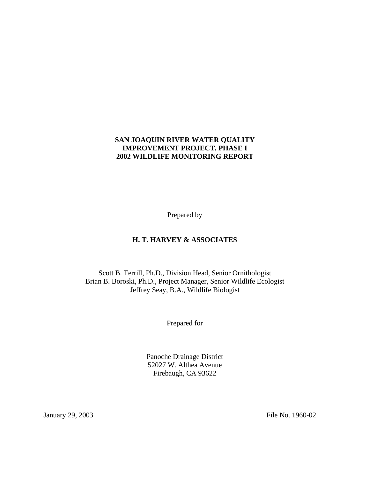#### **SAN JOAQUIN RIVER WATER QUALITY IMPROVEMENT PROJECT, PHASE I 2002 WILDLIFE MONITORING REPORT**

Prepared by

## **H. T. HARVEY & ASSOCIATES**

Scott B. Terrill, Ph.D., Division Head, Senior Ornithologist Brian B. Boroski, Ph.D., Project Manager, Senior Wildlife Ecologist Jeffrey Seay, B.A., Wildlife Biologist

Prepared for

Panoche Drainage District 52027 W. Althea Avenue Firebaugh, CA 93622

January 29, 2003 File No. 1960-02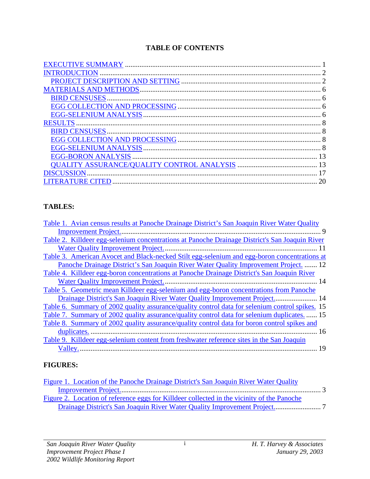## **TABLE OF CONTENTS**

| <b>BIRD CENSUSES</b> |    |
|----------------------|----|
|                      |    |
|                      |    |
| <b>RESULTS</b>       |    |
|                      |    |
|                      |    |
|                      |    |
|                      |    |
|                      |    |
|                      |    |
|                      | 20 |

# **TABLES:**

| Table 1. Avian census results at Panoche Drainage District's San Joaquin River Water Quality    |
|-------------------------------------------------------------------------------------------------|
| 9                                                                                               |
| Table 2. Killdeer egg-selenium concentrations at Panoche Drainage District's San Joaquin River  |
|                                                                                                 |
| Table 3. American Avocet and Black-necked Stilt egg-selenium and egg-boron concentrations at    |
| Panoche Drainage District's San Joaquin River Water Quality Improvement Project.  12            |
| Table 4. Killdeer egg-boron concentrations at Panoche Drainage District's San Joaquin River     |
| -14                                                                                             |
| Table 5. Geometric mean Killdeer egg-selenium and egg-boron concentrations from Panoche         |
| Drainage District's San Joaquin River Water Quality Improvement Project 14                      |
| Table 6. Summary of 2002 quality assurance/quality control data for selenium control spikes. 15 |
| Table 7. Summary of 2002 quality assurance/quality control data for selenium duplicates.  15    |
| Table 8. Summary of 2002 quality assurance/quality control data for boron control spikes and    |
|                                                                                                 |
| Table 9. Killdeer egg-selenium content from freshwater reference sites in the San Joaquin       |
|                                                                                                 |
|                                                                                                 |

## **FIGURES:**

| Figure 1. Location of the Panoche Drainage District's San Joaquin River Water Quality      |  |
|--------------------------------------------------------------------------------------------|--|
|                                                                                            |  |
| Figure 2. Location of reference eggs for Killdeer collected in the vicinity of the Panoche |  |
|                                                                                            |  |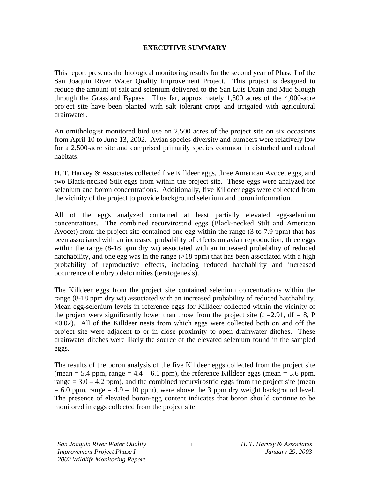## **EXECUTIVE SUMMARY**

This report presents the biological monitoring results for the second year of Phase I of the San Joaquin River Water Quality Improvement Project. This project is designed to reduce the amount of salt and selenium delivered to the San Luis Drain and Mud Slough through the Grassland Bypass. Thus far, approximately 1,800 acres of the 4,000-acre project site have been planted with salt tolerant crops and irrigated with agricultural drainwater.

An ornithologist monitored bird use on 2,500 acres of the project site on six occasions from April 10 to June 13, 2002. Avian species diversity and numbers were relatively low for a 2,500-acre site and comprised primarily species common in disturbed and ruderal habitats.

H. T. Harvey & Associates collected five Killdeer eggs, three American Avocet eggs, and two Black-necked Stilt eggs from within the project site. These eggs were analyzed for selenium and boron concentrations. Additionally, five Killdeer eggs were collected from the vicinity of the project to provide background selenium and boron information.

All of the eggs analyzed contained at least partially elevated egg-selenium concentrations. The combined recurvirostrid eggs (Black-necked Stilt and American Avocet) from the project site contained one egg within the range (3 to 7.9 ppm) that has been associated with an increased probability of effects on avian reproduction, three eggs within the range (8-18 ppm dry wt) associated with an increased probability of reduced hatchability, and one egg was in the range  $(>18 \text{ ppm})$  that has been associated with a high probability of reproductive effects, including reduced hatchability and increased occurrence of embryo deformities (teratogenesis).

The Killdeer eggs from the project site contained selenium concentrations within the range (8-18 ppm dry wt) associated with an increased probability of reduced hatchability. Mean egg-selenium levels in reference eggs for Killdeer collected within the vicinity of the project were significantly lower than those from the project site  $(t = 2.91, df = 8, P)$ <0.02). All of the Killdeer nests from which eggs were collected both on and off the project site were adjacent to or in close proximity to open drainwater ditches. These drainwater ditches were likely the source of the elevated selenium found in the sampled eggs.

The results of the boron analysis of the five Killdeer eggs collected from the project site (mean  $= 5.4$  ppm, range  $= 4.4 - 6.1$  ppm), the reference Killdeer eggs (mean  $= 3.6$  ppm, range  $= 3.0 - 4.2$  ppm), and the combined recurvirostrid eggs from the project site (mean  $= 6.0$  ppm, range  $= 4.9 - 10$  ppm), were above the 3 ppm dry weight background level. The presence of elevated boron-egg content indicates that boron should continue to be monitored in eggs collected from the project site.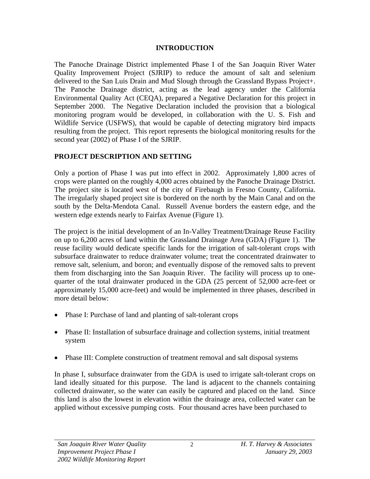## **INTRODUCTION**

The Panoche Drainage District implemented Phase I of the San Joaquin River Water Quality Improvement Project (SJRIP) to reduce the amount of salt and selenium delivered to the San Luis Drain and Mud Slough through the Grassland Bypass Project+. The Panoche Drainage district, acting as the lead agency under the California Environmental Quality Act (CEQA), prepared a Negative Declaration for this project in September 2000. The Negative Declaration included the provision that a biological monitoring program would be developed, in collaboration with the U. S. Fish and Wildlife Service (USFWS), that would be capable of detecting migratory bird impacts resulting from the project. This report represents the biological monitoring results for the second year (2002) of Phase I of the SJRIP.

# **PROJECT DESCRIPTION AND SETTING**

Only a portion of Phase I was put into effect in 2002. Approximately 1,800 acres of crops were planted on the roughly 4,000 acres obtained by the Panoche Drainage District. The project site is located west of the city of Firebaugh in Fresno County, California. The irregularly shaped project site is bordered on the north by the Main Canal and on the south by the Delta-Mendota Canal. Russell Avenue borders the eastern edge, and the western edge extends nearly to Fairfax Avenue (Figure 1).

The project is the initial development of an In-Valley Treatment/Drainage Reuse Facility on up to 6,200 acres of land within the Grassland Drainage Area (GDA) (Figure 1). The reuse facility would dedicate specific lands for the irrigation of salt-tolerant crops with subsurface drainwater to reduce drainwater volume; treat the concentrated drainwater to remove salt, selenium, and boron; and eventually dispose of the removed salts to prevent them from discharging into the San Joaquin River. The facility will process up to onequarter of the total drainwater produced in the GDA (25 percent of 52,000 acre-feet or approximately 15,000 acre-feet) and would be implemented in three phases, described in more detail below:

- Phase I: Purchase of land and planting of salt-tolerant crops
- Phase II: Installation of subsurface drainage and collection systems, initial treatment system
- Phase III: Complete construction of treatment removal and salt disposal systems

In phase I, subsurface drainwater from the GDA is used to irrigate salt-tolerant crops on land ideally situated for this purpose. The land is adjacent to the channels containing collected drainwater, so the water can easily be captured and placed on the land. Since this land is also the lowest in elevation within the drainage area, collected water can be applied without excessive pumping costs. Four thousand acres have been purchased to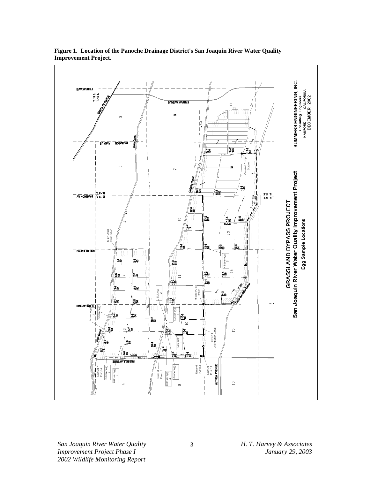

**Figure 1. Location of the Panoche Drainage District's San Joaquin River Water Quality Improvement Project.**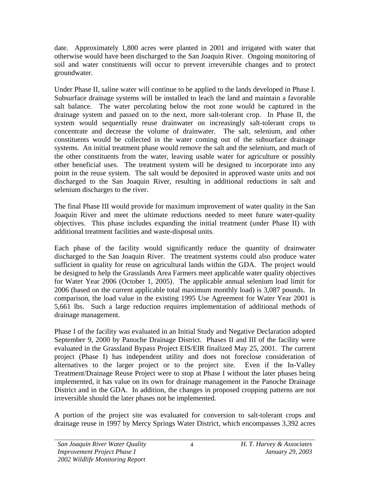date. Approximately 1,800 acres were planted in 2001 and irrigated with water that otherwise would have been discharged to the San Joaquin River. Ongoing monitoring of soil and water constituents will occur to prevent irreversible changes and to protect groundwater.

Under Phase II, saline water will continue to be applied to the lands developed in Phase I. Subsurface drainage systems will be installed to leach the land and maintain a favorable salt balance. The water percolating below the root zone would be captured in the drainage system and passed on to the next, more salt-tolerant crop. In Phase II, the system would sequentially reuse drainwater on increasingly salt-tolerant crops to concentrate and decrease the volume of drainwater. The salt, selenium, and other constituents would be collected in the water coming out of the subsurface drainage systems. An initial treatment phase would remove the salt and the selenium, and much of the other constituents from the water, leaving usable water for agriculture or possibly other beneficial uses. The treatment system will be designed to incorporate into any point in the reuse system. The salt would be deposited in approved waste units and not discharged to the San Joaquin River, resulting in additional reductions in salt and selenium discharges to the river.

The final Phase III would provide for maximum improvement of water quality in the San Joaquin River and meet the ultimate reductions needed to meet future water-quality objectives. This phase includes expanding the initial treatment (under Phase II) with additional treatment facilities and waste-disposal units.

Each phase of the facility would significantly reduce the quantity of drainwater discharged to the San Joaquin River. The treatment systems could also produce water sufficient in quality for reuse on agricultural lands within the GDA. The project would be designed to help the Grasslands Area Farmers meet applicable water quality objectives for Water Year 2006 (October 1, 2005). The applicable annual selenium load limit for 2006 (based on the current applicable total maximum monthly load) is 3,087 pounds. In comparison, the load value in the existing 1995 Use Agreement for Water Year 2001 is 5,661 lbs. Such a large reduction requires implementation of additional methods of drainage management.

Phase I of the facility was evaluated in an Initial Study and Negative Declaration adopted September 9, 2000 by Panoche Drainage District. Phases II and III of the facility were evaluated in the Grassland Bypass Project EIS/EIR finalized May 25, 2001. The current project (Phase I) has independent utility and does not foreclose consideration of alternatives to the larger project or to the project site. Even if the In-Valley Treatment/Drainage Reuse Project were to stop at Phase I without the later phases being implemented, it has value on its own for drainage management in the Panoche Drainage District and in the GDA. In addition, the changes in proposed cropping patterns are not irreversible should the later phases not be implemented.

A portion of the project site was evaluated for conversion to salt-tolerant crops and drainage reuse in 1997 by Mercy Springs Water District, which encompasses 3,392 acres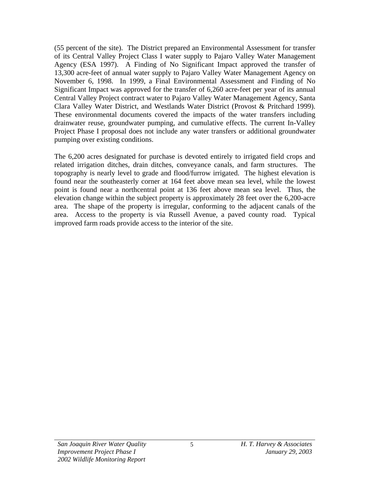(55 percent of the site). The District prepared an Environmental Assessment for transfer of its Central Valley Project Class I water supply to Pajaro Valley Water Management Agency (ESA 1997). A Finding of No Significant Impact approved the transfer of 13,300 acre-feet of annual water supply to Pajaro Valley Water Management Agency on November 6, 1998. In 1999, a Final Environmental Assessment and Finding of No Significant Impact was approved for the transfer of 6,260 acre-feet per year of its annual Central Valley Project contract water to Pajaro Valley Water Management Agency, Santa Clara Valley Water District, and Westlands Water District (Provost & Pritchard 1999). These environmental documents covered the impacts of the water transfers including drainwater reuse, groundwater pumping, and cumulative effects. The current In-Valley Project Phase I proposal does not include any water transfers or additional groundwater pumping over existing conditions.

The 6,200 acres designated for purchase is devoted entirely to irrigated field crops and related irrigation ditches, drain ditches, conveyance canals, and farm structures. The topography is nearly level to grade and flood/furrow irrigated. The highest elevation is found near the southeasterly corner at 164 feet above mean sea level, while the lowest point is found near a northcentral point at 136 feet above mean sea level. Thus, the elevation change within the subject property is approximately 28 feet over the 6,200-acre area. The shape of the property is irregular, conforming to the adjacent canals of the area. Access to the property is via Russell Avenue, a paved county road. Typical improved farm roads provide access to the interior of the site.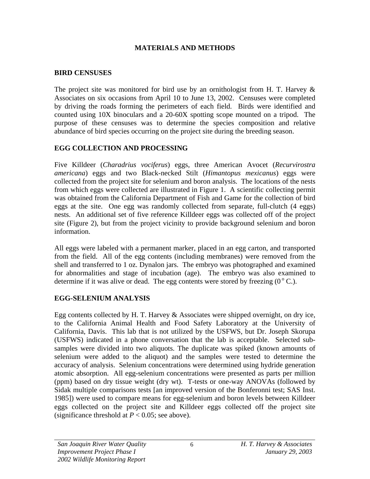## **MATERIALS AND METHODS**

## **BIRD CENSUSES**

The project site was monitored for bird use by an ornithologist from H. T. Harvey & Associates on six occasions from April 10 to June 13, 2002. Censuses were completed by driving the roads forming the perimeters of each field. Birds were identified and counted using 10X binoculars and a 20-60X spotting scope mounted on a tripod. The purpose of these censuses was to determine the species composition and relative abundance of bird species occurring on the project site during the breeding season.

## **EGG COLLECTION AND PROCESSING**

Five Killdeer (*Charadrius vociferus*) eggs, three American Avocet (*Recurvirostra americana*) eggs and two Black-necked Stilt (*Himantopus mexicanus*) eggs were collected from the project site for selenium and boron analysis. The locations of the nests from which eggs were collected are illustrated in Figure 1. A scientific collecting permit was obtained from the California Department of Fish and Game for the collection of bird eggs at the site. One egg was randomly collected from separate, full-clutch (4 eggs) nests. An additional set of five reference Killdeer eggs was collected off of the project site (Figure 2), but from the project vicinity to provide background selenium and boron information.

All eggs were labeled with a permanent marker, placed in an egg carton, and transported from the field. All of the egg contents (including membranes) were removed from the shell and transferred to 1 oz. Dynalon jars. The embryo was photographed and examined for abnormalities and stage of incubation (age). The embryo was also examined to determine if it was alive or dead. The egg contents were stored by freezing  $(0^{\circ} C)$ .

# **EGG-SELENIUM ANALYSIS**

Egg contents collected by H. T. Harvey  $\&$  Associates were shipped overnight, on dry ice, to the California Animal Health and Food Safety Laboratory at the University of California, Davis. This lab that is not utilized by the USFWS, but Dr. Joseph Skorupa (USFWS) indicated in a phone conversation that the lab is acceptable. Selected subsamples were divided into two aliquots. The duplicate was spiked (known amounts of selenium were added to the aliquot) and the samples were tested to determine the accuracy of analysis. Selenium concentrations were determined using hydride generation atomic absorption. All egg-selenium concentrations were presented as parts per million (ppm) based on dry tissue weight (dry wt). T-tests or one-way ANOVAs (followed by Sidak multiple comparisons tests [an improved version of the Bonferonni test; SAS Inst. 1985]) were used to compare means for egg-selenium and boron levels between Killdeer eggs collected on the project site and Killdeer eggs collected off the project site (significance threshold at  $P < 0.05$ ; see above).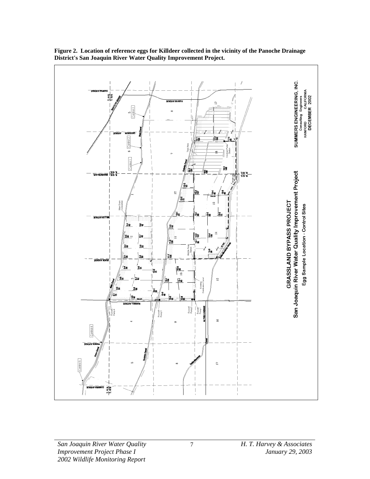

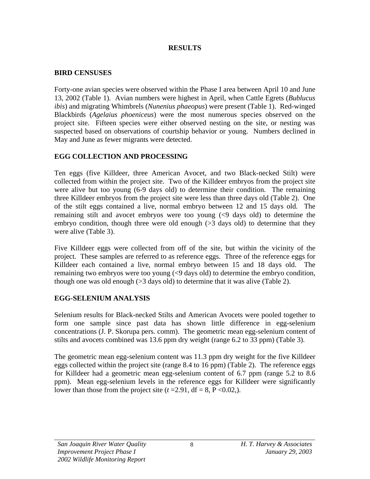## **RESULTS**

## **BIRD CENSUSES**

Forty-one avian species were observed within the Phase I area between April 10 and June 13, 2002 (Table 1). Avian numbers were highest in April, when Cattle Egrets (*Bublucus ibis*) and migrating Whimbrels (*Nunenius phaeopus*) were present (Table 1). Red-winged Blackbirds (*Agelaius phoeniceus*) were the most numerous species observed on the project site. Fifteen species were either observed nesting on the site, or nesting was suspected based on observations of courtship behavior or young. Numbers declined in May and June as fewer migrants were detected.

# **EGG COLLECTION AND PROCESSING**

Ten eggs (five Killdeer, three American Avocet, and two Black-necked Stilt) were collected from within the project site. Two of the Killdeer embryos from the project site were alive but too young (6-9 days old) to determine their condition. The remaining three Killdeer embryos from the project site were less than three days old (Table 2). One of the stilt eggs contained a live, normal embryo between 12 and 15 days old. The remaining stilt and avocet embryos were too young (<9 days old) to determine the embryo condition, though three were old enough  $(>= 3 \text{ days old})$  to determine that they were alive (Table 3).

Five Killdeer eggs were collected from off of the site, but within the vicinity of the project. These samples are referred to as reference eggs. Three of the reference eggs for Killdeer each contained a live, normal embryo between 15 and 18 days old. The remaining two embryos were too young (<9 days old) to determine the embryo condition, though one was old enough  $(>= 3 \text{ days old})$  to determine that it was alive (Table 2).

# **EGG-SELENIUM ANALYSIS**

Selenium results for Black-necked Stilts and American Avocets were pooled together to form one sample since past data has shown little difference in egg-selenium concentrations (J. P. Skorupa pers. comm). The geometric mean egg-selenium content of stilts and avocets combined was 13.6 ppm dry weight (range 6.2 to 33 ppm) (Table 3).

The geometric mean egg-selenium content was 11.3 ppm dry weight for the five Killdeer eggs collected within the project site (range 8.4 to 16 ppm) (Table 2). The reference eggs for Killdeer had a geometric mean egg-selenium content of 6.7 ppm (range 5.2 to 8.6 ppm). Mean egg-selenium levels in the reference eggs for Killdeer were significantly lower than those from the project site  $(t=2.91, df=8, P<0.02)$ .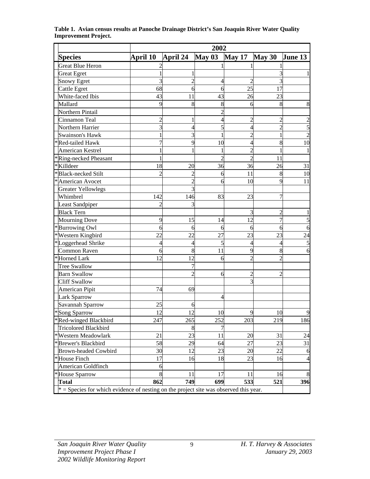| <b>Species</b>                                                                          | April 10 | April 24       | May 03 | <b>May 17</b>            | May 30                   | <b>June 13</b> |
|-----------------------------------------------------------------------------------------|----------|----------------|--------|--------------------------|--------------------------|----------------|
| <b>Great Blue Heron</b>                                                                 |          |                |        |                          |                          |                |
| <b>Great Egret</b>                                                                      |          |                |        |                          |                          |                |
| <b>Snowy Egret</b>                                                                      |          | $\overline{2}$ | 4      | 2                        |                          |                |
| Cattle Egret                                                                            | 68       | 6              | 6      | 25                       | 17                       |                |
| White-faced Ibis                                                                        | 43       | 11             | 43     | 26                       | 23                       |                |
| Mallard                                                                                 | 9        | 8              | 8      | 6                        | 8                        | 8              |
| Northern Pintail                                                                        |          |                |        |                          |                          |                |
| Cinnamon Teal                                                                           |          | 1              |        | 2                        | 2                        |                |
| Northern Harrier                                                                        |          | 4              |        | 4                        | $\overline{2}$           |                |
| Swainson's Hawk                                                                         |          | 3              |        | $\overline{2}$           |                          |                |
| Red-tailed Hawk                                                                         |          | 9              | 10     | 4                        | 8                        | 10             |
| American Kestrel                                                                        |          | 1              |        | $\overline{\mathcal{L}}$ |                          |                |
| *Ring-necked Pheasant                                                                   |          |                |        | $\overline{\mathcal{L}}$ | 11                       |                |
| *Killdeer                                                                               | 18       | 20             | 36     | 36                       | 26                       | 31             |
| <b>Black-necked Stilt</b>                                                               |          | 2              | 6      | 11                       | 8                        | 10             |
| American Avocet                                                                         |          | $\overline{2}$ | 6      | 10                       | 9                        | 11             |
| <b>Greater Yellowlegs</b>                                                               |          | 3              |        |                          |                          |                |
| Whimbrel                                                                                | 142      | 146            | 83     | 23                       | 7                        |                |
| <b>Least Sandpiper</b>                                                                  | 2        | 3              |        |                          |                          |                |
| <b>Black Tern</b>                                                                       |          |                |        | 3                        | $\overline{\mathcal{C}}$ |                |
| <b>Mourning Dove</b>                                                                    | 9        | 15             | 14     | 12                       | 7                        |                |
| <b>Burrowing Owl</b>                                                                    | 6        | 6              | 6      | 6                        | 6                        | 6              |
| Western Kingbird<br>∗                                                                   | 22       | 22             | 27     | 23                       | 23                       | 24             |
| *Loggerhead Shrike                                                                      | 4        | 4              | 5      | 4                        | 4                        |                |
| <b>Common Raven</b>                                                                     | h        | 8              | 11     | 9                        | 8                        |                |
| *Horned Lark                                                                            | 12       | 12             | 6      | $\overline{2}$           | $\mathfrak{D}$           |                |
| <b>Tree Swallow</b>                                                                     |          | 7              |        |                          |                          |                |
| <b>Barn Swallow</b>                                                                     |          | $\overline{2}$ | 6      | $\overline{c}$           | 2                        |                |
| <b>Cliff Swallow</b>                                                                    |          |                |        | 3                        |                          |                |
| American Pipit                                                                          | 74       | 69             |        |                          |                          |                |
| <b>Lark Sparrow</b>                                                                     |          |                |        |                          |                          |                |
| Savannah Sparrow                                                                        | 25       | 6              |        |                          |                          |                |
| *Song Sparrow                                                                           | 12       | 12             | 10     | $\mathbf Q$              | 10                       |                |
| *Red-winged Blackbird                                                                   | 247      | 265            | 252    | 203                      | 219                      | 186            |
| Tricolored Blackbird                                                                    |          | 8              |        |                          |                          |                |
| *Western Meadowlark                                                                     | 21       | 23             | 11     | 20                       | 31                       | 24             |
| *Brewer's Blackbird                                                                     | 58       | 29             | 64     | 27                       | 23                       | 31             |
| <b>Brown-headed Cowbird</b>                                                             | 30       | 12             | 23     | 20                       | 22                       | 6              |
| <b>House Finch</b><br>∗                                                                 | 17       | 16             | 18     | 23                       | 16                       | 4              |
| American Goldfinch                                                                      | 6        |                |        |                          |                          |                |
| <b>House Sparrow</b><br>∗                                                               | 8        | 11             | 17     | 11                       | 16                       | 8              |
| <b>Total</b>                                                                            | 862      | 749            | 699    | 533                      | 521                      | 396            |
| $*$ = Species for which evidence of nesting on the project site was observed this year. |          |                |        |                          |                          |                |

**Table 1. Avian census results at Panoche Drainage District's San Joaquin River Water Quality Improvement Project.**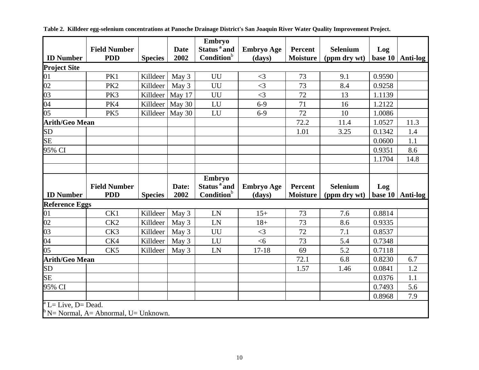|                              |                                                  |                |             | Embryo                  |                   |                 |                 |         |          |
|------------------------------|--------------------------------------------------|----------------|-------------|-------------------------|-------------------|-----------------|-----------------|---------|----------|
|                              | <b>Field Number</b>                              |                | <b>Date</b> | Status <sup>a</sup> and | <b>Embryo Age</b> | <b>Percent</b>  | <b>Selenium</b> | Log     |          |
| <b>ID</b> Number             | <b>PDD</b>                                       | <b>Species</b> | 2002        | Condition <sup>b</sup>  | (days)            | <b>Moisture</b> | (ppm dry wt)    | base 10 | Anti-log |
| <b>Project Site</b>          |                                                  |                |             |                         |                   |                 |                 |         |          |
| 01                           | PK1                                              | Killdeer       | May 3       | UU                      | $\leq$ 3          | 73              | 9.1             | 0.9590  |          |
| $\overline{02}$              | PK <sub>2</sub>                                  | Killdeer       | May 3       | UU                      | $\leq$ 3          | 73              | 8.4             | 0.9258  |          |
| 03                           | PK3                                              | Killdeer       | May 17      | UU                      | $\leq$ 3          | 72              | 13              | 1.1139  |          |
| $\overline{04}$              | PK4                                              | Killdeer       | May 30      | LU                      | $6 - 9$           | 71              | 16              | 1.2122  |          |
| 05                           | PK5                                              | Killdeer       | May 30      | LU                      | $6 - 9$           | 72              | 10              | 1.0086  |          |
| <b>Arith/Geo Mean</b>        |                                                  |                |             |                         |                   | 72.2            | 11.4            | 1.0527  | 11.3     |
| SD                           |                                                  |                |             |                         |                   | 1.01            | 3.25            | 0.1342  | 1.4      |
| <b>SE</b>                    |                                                  |                |             |                         |                   |                 |                 | 0.0600  | 1.1      |
| 95% CI                       |                                                  |                |             |                         |                   |                 |                 | 0.9351  | 8.6      |
|                              |                                                  |                |             |                         |                   |                 |                 | 1.1704  | 14.8     |
|                              |                                                  |                |             |                         |                   |                 |                 |         |          |
|                              |                                                  |                |             | Embryo                  |                   |                 |                 |         |          |
|                              | <b>Field Number</b>                              |                | Date:       | Status <sup>a</sup> and | <b>Embryo Age</b> | Percent         | <b>Selenium</b> | Log     |          |
| <b>ID Number</b>             | <b>PDD</b>                                       | <b>Species</b> | 2002        | Condition <sup>b</sup>  | (days)            | <b>Moisture</b> | (ppm dry wt)    | base 10 | Anti-log |
| <b>Reference Eggs</b>        |                                                  |                |             |                         |                   |                 |                 |         |          |
| 01                           | CK1                                              | Killdeer       | May 3       | LN                      | $15+$             | 73              | 7.6             | 0.8814  |          |
| 02                           | CK <sub>2</sub>                                  | Killdeer       | May 3       | LN                      | $18+$             | 73              | 8.6             | 0.9335  |          |
| 03                           | CK3                                              | Killdeer       | May 3       | UU                      | $\leq$ 3          | 72              | 7.1             | 0.8537  |          |
| 04                           | CK4                                              | Killdeer       | May 3       | LU                      | $<$ 6             | 73              | 5.4             | 0.7348  |          |
| 05                           | CK5                                              | Killdeer       | May 3       | LN                      | $17 - 18$         | 69              | 5.2             | 0.7118  |          |
| <b>Arith/Geo Mean</b>        |                                                  |                |             |                         |                   | 72.1            | 6.8             | 0.8230  | 6.7      |
| SD                           |                                                  |                |             |                         |                   | 1.57            | 1.46            | 0.0841  | 1.2      |
| <b>SE</b>                    |                                                  |                |             |                         |                   |                 |                 | 0.0376  | 1.1      |
| 95% CI                       |                                                  |                |             |                         |                   |                 |                 | 0.7493  | 5.6      |
|                              |                                                  |                |             |                         |                   |                 |                 | 0.8968  | 7.9      |
| $^{\circ}$ L= Live, D= Dead. |                                                  |                |             |                         |                   |                 |                 |         |          |
|                              | $\mathbb{P}$ N= Normal, A= Abnormal, U= Unknown. |                |             |                         |                   |                 |                 |         |          |

**Table 2. Killdeer egg-selenium concentrations at Panoche Drainage District's San Joaquin River Water Quality Improvement Project.**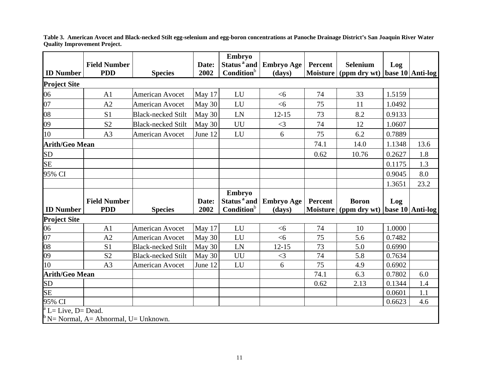|                              |                                                               |                           |         | Embryo                  |                   |                 |                       |        |                  |
|------------------------------|---------------------------------------------------------------|---------------------------|---------|-------------------------|-------------------|-----------------|-----------------------|--------|------------------|
|                              | <b>Field Number</b>                                           |                           | Date:   | Status <sup>a</sup> and | <b>Embryo Age</b> | Percent         | <b>Selenium</b>       | Log    |                  |
| <b>ID Number</b>             | <b>PDD</b>                                                    | <b>Species</b>            | 2002    | Condition <sup>b</sup>  | (days)            |                 | Moisture (ppm dry wt) |        | base 10 Anti-log |
| <b>Project Site</b>          |                                                               |                           |         |                         |                   |                 |                       |        |                  |
| 06                           | A <sub>1</sub>                                                | <b>American Avocet</b>    | May 17  | LU                      | <6                | 74              | 33                    | 1.5159 |                  |
| 07                           | A2                                                            | <b>American Avocet</b>    | May 30  | LU                      | <6                | 75              | 11                    | 1.0492 |                  |
| 08                           | S1                                                            | <b>Black-necked Stilt</b> | May 30  | LN                      | $12 - 15$         | 73              | 8.2                   | 0.9133 |                  |
| 09                           | S <sub>2</sub>                                                | <b>Black-necked Stilt</b> | May 30  | UU                      | $<$ 3             | 74              | 12                    | 1.0607 |                  |
| 10                           | A <sub>3</sub>                                                | <b>American Avocet</b>    | June 12 | LU                      | 6                 | 75              | 6.2                   | 0.7889 |                  |
| <b>Arith/Geo Mean</b>        |                                                               |                           |         |                         |                   | 74.1            | 14.0                  | 1.1348 | 13.6             |
| SD                           |                                                               |                           |         |                         |                   | 0.62            | 10.76                 | 0.2627 | 1.8              |
| <b>SE</b>                    |                                                               |                           |         |                         |                   |                 |                       | 0.1175 | 1.3              |
| 95% CI                       |                                                               |                           |         |                         |                   |                 |                       | 0.9045 | 8.0              |
|                              |                                                               |                           |         |                         |                   |                 |                       | 1.3651 | 23.2             |
|                              |                                                               |                           |         | Embryo                  |                   |                 |                       |        |                  |
|                              | <b>Field Number</b>                                           |                           | Date:   | Status <sup>a</sup> and | <b>Embryo Age</b> | Percent         | <b>Boron</b>          | Log    |                  |
| <b>ID Number</b>             | <b>PDD</b>                                                    | <b>Species</b>            | 2002    | Condition <sup>b</sup>  | (days)            | <b>Moisture</b> | (ppm dry wt)          |        | base 10 Anti-log |
| <b>Project Site</b>          |                                                               |                           |         |                         |                   |                 |                       |        |                  |
| 06                           | A <sub>1</sub>                                                | <b>American Avocet</b>    | May 17  | LU                      | <6                | 74              | 10                    | 1.0000 |                  |
| 07                           | A2                                                            | <b>American Avocet</b>    | May 30  | LU                      | <6                | 75              | 5.6                   | 0.7482 |                  |
| 08                           | S <sub>1</sub>                                                | <b>Black-necked Stilt</b> | May 30  | LN                      | $12 - 15$         | 73              | 5.0                   | 0.6990 |                  |
| 09                           | S <sub>2</sub>                                                | <b>Black-necked Stilt</b> | May 30  | UU                      | $\leq$ 3          | 74              | 5.8                   | 0.7634 |                  |
| 10                           | A <sub>3</sub>                                                | <b>American Avocet</b>    | June 12 | LU                      | 6                 | 75              | 4.9                   | 0.6902 |                  |
| <b>Arith/Geo Mean</b>        |                                                               |                           |         |                         |                   | 74.1            | 6.3                   | 0.7802 | 6.0              |
| SD                           |                                                               |                           |         |                         |                   | 0.62            | 2.13                  | 0.1344 | 1.4              |
| <b>SE</b>                    |                                                               |                           |         |                         |                   |                 |                       | 0.0601 | 1.1              |
|                              |                                                               |                           |         |                         |                   |                 |                       |        |                  |
| 95% CI                       |                                                               |                           |         |                         |                   |                 |                       | 0.6623 | 4.6              |
| $^{\rm a}$ L= Live, D= Dead. | $\mathbb{R}^{\mathsf{b}}$ N= Normal, A= Abnormal, U= Unknown. |                           |         |                         |                   |                 |                       |        |                  |

**Table 3. American Avocet and Black-necked Stilt egg-selenium and egg-boron concentrations at Panoche Drainage District's San Joaquin River Water Quality Improvement Project.**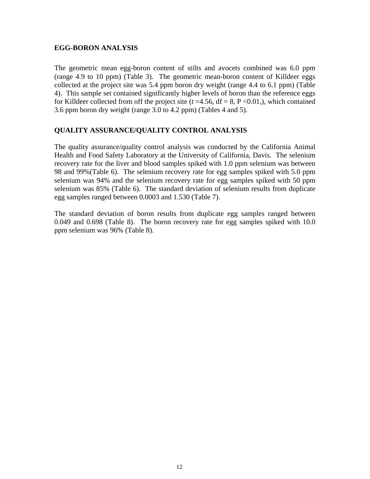#### **EGG-BORON ANALYSIS**

The geometric mean egg-boron content of stilts and avocets combined was 6.0 ppm (range 4.9 to 10 ppm) (Table 3). The geometric mean-boron content of Killdeer eggs collected at the project site was 5.4 ppm boron dry weight (range 4.4 to 6.1 ppm) (Table 4). This sample set contained significantly higher levels of boron than the reference eggs for Killdeer collected from off the project site  $(t=4.56, df=8, P<0.01)$ , which contained 3.6 ppm boron dry weight (range 3.0 to 4.2 ppm) (Tables 4 and 5).

#### **QUALITY ASSURANCE/QUALITY CONTROL ANALYSIS**

The quality assurance/quality control analysis was conducted by the California Animal Health and Food Safety Laboratory at the University of California, Davis. The selenium recovery rate for the liver and blood samples spiked with 1.0 ppm selenium was between 98 and 99%(Table 6). The selenium recovery rate for egg samples spiked with 5.0 ppm selenium was 94% and the selenium recovery rate for egg samples spiked with 50 ppm selenium was 85% (Table 6). The standard deviation of selenium results from duplicate egg samples ranged between 0.0003 and 1.530 (Table 7).

The standard deviation of boron results from duplicate egg samples ranged between 0.049 and 0.698 (Table 8). The boron recovery rate for egg samples spiked with 10.0 ppm selenium was 96% (Table 8).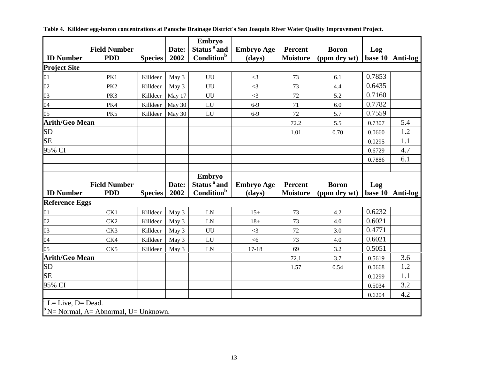|                       |                                                  |                |        | Embryo                  |                   |                 |              |         |          |
|-----------------------|--------------------------------------------------|----------------|--------|-------------------------|-------------------|-----------------|--------------|---------|----------|
|                       | <b>Field Number</b>                              |                | Date:  | Status <sup>a</sup> and | <b>Embryo Age</b> | Percent         | <b>Boron</b> | Log     |          |
| <b>ID Number</b>      | <b>PDD</b>                                       | <b>Species</b> | 2002   | Condition <sup>b</sup>  | (days)            | <b>Moisture</b> | (ppm dry wt) | base 10 | Anti-log |
| <b>Project Site</b>   |                                                  |                |        |                         |                   |                 |              |         |          |
| 01                    | PK1                                              | Killdeer       | May 3  | UU                      | $\leq$ 3          | 73              | 6.1          | 0.7853  |          |
| 02                    | PK <sub>2</sub>                                  | Killdeer       | May 3  | UU                      | $<3$              | 73              | 4.4          | 0.6435  |          |
| 03                    | PK3                                              | Killdeer       | May 17 | UU                      | $\leq$ 3          | 72              | 5.2          | 0.7160  |          |
| 04                    | PK4                                              | Killdeer       | May 30 | LU                      | $6-9$             | $71\,$          | 6.0          | 0.7782  |          |
| 05                    | PK5                                              | Killdeer       | May 30 | LU                      | $6-9$             | 72              | 5.7          | 0.7559  |          |
| <b>Arith/Geo Mean</b> |                                                  |                |        |                         |                   | 72.2            | 5.5          | 0.7307  | 5.4      |
| <b>SD</b>             |                                                  |                |        |                         |                   | 1.01            | 0.70         | 0.0660  | 1.2      |
| <b>SE</b>             |                                                  |                |        |                         |                   |                 |              | 0.0295  | 1.1      |
| 95% CI                |                                                  |                |        |                         |                   |                 |              | 0.6729  | 4.7      |
|                       |                                                  |                |        |                         |                   |                 |              | 0.7886  | 6.1      |
|                       |                                                  |                |        |                         |                   |                 |              |         |          |
|                       |                                                  |                |        | Embryo                  |                   |                 |              |         |          |
|                       | <b>Field Number</b>                              |                | Date:  | Status <sup>a</sup> and | <b>Embryo Age</b> | Percent         | <b>Boron</b> | Log     |          |
| <b>ID Number</b>      | <b>PDD</b>                                       | <b>Species</b> | 2002   | Condition <sup>b</sup>  | (days)            | <b>Moisture</b> | (ppm dry wt) | base 10 | Anti-log |
| <b>Reference Eggs</b> |                                                  |                |        |                         |                   |                 |              |         |          |
| 01                    | CK1                                              | Killdeer       | May 3  | LN                      | $15+$             | 73              | 4.2          | 0.6232  |          |
| 02                    | CK2                                              | Killdeer       | May 3  | LN                      | $18 +$            | 73              | 4.0          | 0.6021  |          |
| 03                    | CK3                                              | Killdeer       | May 3  | UU                      | $\leq$ 3          | 72              | 3.0          | 0.4771  |          |
| 04                    | CK4                                              | Killdeer       | May 3  | LU                      | <6                | 73              | 4.0          | 0.6021  |          |
| 05                    | CK5                                              | Killdeer       | May 3  | LN                      | $17 - 18$         | 69              | 3.2          | 0.5051  |          |
| <b>Arith/Geo Mean</b> |                                                  |                |        |                         |                   | 72.1            | 3.7          | 0.5619  | 3.6      |
| SD                    |                                                  |                |        |                         |                   | 1.57            | 0.54         | 0.0668  | 1.2      |
| <b>SE</b>             |                                                  |                |        |                         |                   |                 |              | 0.0299  | 1.1      |
| 95% CI                |                                                  |                |        |                         |                   |                 |              | 0.5034  | 3.2      |
|                       |                                                  |                |        |                         |                   |                 |              | 0.6204  | 4.2      |
| L= Live, D= Dead.     |                                                  |                |        |                         |                   |                 |              |         |          |
|                       | $\mathbb{P}$ N= Normal, A= Abnormal, U= Unknown. |                |        |                         |                   |                 |              |         |          |

**Table 4. Killdeer egg-boron concentrations at Panoche Drainage District's San Joaquin River Water Quality Improvement Project.**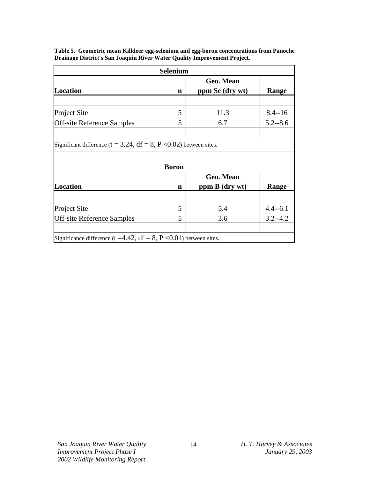| <b>Selenium</b>                                                              |              |                              |              |  |  |  |  |  |
|------------------------------------------------------------------------------|--------------|------------------------------|--------------|--|--|--|--|--|
| <b>Location</b>                                                              | n            | Geo. Mean<br>ppm Se (dry wt) | <b>Range</b> |  |  |  |  |  |
|                                                                              |              |                              |              |  |  |  |  |  |
| <b>Project Site</b>                                                          | 5            | 11.3                         | $8.4 - 16$   |  |  |  |  |  |
| <b>Off-site Reference Samples</b>                                            | 5            | 6.7                          | $5.2 - 8.6$  |  |  |  |  |  |
|                                                                              |              |                              |              |  |  |  |  |  |
| Significant difference ( $t = 3.24$ , $df = 8$ , $P < 0.02$ ) between sites. |              |                              |              |  |  |  |  |  |
|                                                                              |              |                              |              |  |  |  |  |  |
|                                                                              | <b>Boron</b> |                              |              |  |  |  |  |  |
|                                                                              |              | Geo. Mean                    |              |  |  |  |  |  |
| <b>Location</b>                                                              | n            | ppm B (dry wt)               | Range        |  |  |  |  |  |
|                                                                              |              |                              |              |  |  |  |  |  |
| <b>Project Site</b>                                                          | 5            | 5.4                          | $4.4 - 6.1$  |  |  |  |  |  |
| <b>Off-site Reference Samples</b>                                            | 5            | 3.6                          | $3.2 - 4.2$  |  |  |  |  |  |
|                                                                              |              |                              |              |  |  |  |  |  |
| Significance difference (t =4.42, $df = 8$ , P <0.01) between sites.         |              |                              |              |  |  |  |  |  |

**Table 5. Geometric mean Killdeer egg-selenium and egg-boron concentrations from Panoche Drainage District's San Joaquin River Water Quality Improvement Project.**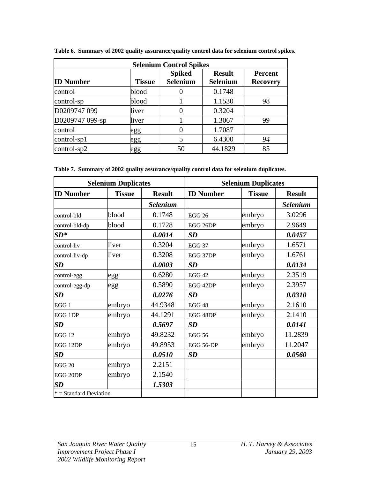| <b>Selenium Control Spikes</b> |               |                                  |                                  |                                   |  |  |  |  |
|--------------------------------|---------------|----------------------------------|----------------------------------|-----------------------------------|--|--|--|--|
| <b>ID Number</b>               | <b>Tissue</b> | <b>Spiked</b><br><b>Selenium</b> | <b>Result</b><br><b>Selenium</b> | <b>Percent</b><br><b>Recovery</b> |  |  |  |  |
| control                        | blood         |                                  | 0.1748                           |                                   |  |  |  |  |
| control-sp                     | blood         |                                  | 1.1530                           | 98                                |  |  |  |  |
| D0209747 099                   | liver         | 0                                | 0.3204                           |                                   |  |  |  |  |
| D0209747 099-sp                | liver         |                                  | 1.3067                           | 99                                |  |  |  |  |
| control                        | egg           | 0                                | 1.7087                           |                                   |  |  |  |  |
| $control$ -sp1                 | egg           | 5                                | 6.4300                           | 94                                |  |  |  |  |
| $control$ -sp2                 | egg           | 50                               | 44.1829                          | 85                                |  |  |  |  |

**Table 6. Summary of 2002 quality assurance/quality control data for selenium control spikes.**

**Table 7. Summary of 2002 quality assurance/quality control data for selenium duplicates.**

|                          | <b>Selenium Duplicates</b> |                 | <b>Selenium Duplicates</b> |               |                 |  |
|--------------------------|----------------------------|-----------------|----------------------------|---------------|-----------------|--|
| <b>ID Number</b>         | <b>Tissue</b>              |                 | <b>ID Number</b>           | <b>Tissue</b> | <b>Result</b>   |  |
|                          |                            | <b>Selenium</b> |                            |               | <b>Selenium</b> |  |
| control-bld              | blood                      | 0.1748          | <b>EGG 26</b>              | embryo        | 3.0296          |  |
| control-bld-dp           | blood                      | 0.1728          | EGG 26DP                   | embryo        | 2.9649          |  |
| $SD^*$                   |                            | 0.0014          | SD                         |               | 0.0457          |  |
| control-liv              | liver                      | 0.3204          | <b>EGG 37</b>              | embryo        | 1.6571          |  |
| control-liv-dp           | liver                      | 0.3208          | EGG 37DP                   | embryo        | 1.6761          |  |
| SD                       |                            | 0.0003          | SD                         |               | 0.0134          |  |
| control-egg              | egg                        | 0.6280          | EGG <sub>42</sub>          | embryo        | 2.3519          |  |
| control-egg-dp           | egg                        | 0.5890          | EGG 42DP                   | embryo        | 2.3957          |  |
| <b>SD</b>                |                            | 0.0276          | SD                         |               | 0.0310          |  |
| EGG 1                    | embryo                     | 44.9348         | EGG <sub>48</sub>          | embryo        | 2.1610          |  |
| <b>EGG 1DP</b>           | embryo                     | 44.1291         | EGG 48DP                   | embryo        | 2.1410          |  |
| <b>SD</b>                |                            | 0.5697          | $\boldsymbol{SD}$          |               | 0.0141          |  |
| <b>EGG 12</b>            | embryo                     | 49.8232         | <b>EGG 56</b>              | embryo        | 11.2839         |  |
| EGG 12DP                 | embryo                     | 49.8953         | EGG 56-DP                  | embryo        | 11.2047         |  |
| <b>SD</b>                |                            | 0.0510          | $\boldsymbol{SD}$          |               | 0.0560          |  |
| <b>EGG 20</b>            | embryo                     | 2.2151          |                            |               |                 |  |
| EGG 20DP                 | embryo                     | 2.1540          |                            |               |                 |  |
| <b>SD</b>                |                            | 1.5303          |                            |               |                 |  |
| $* = Standard Deviation$ |                            |                 |                            |               |                 |  |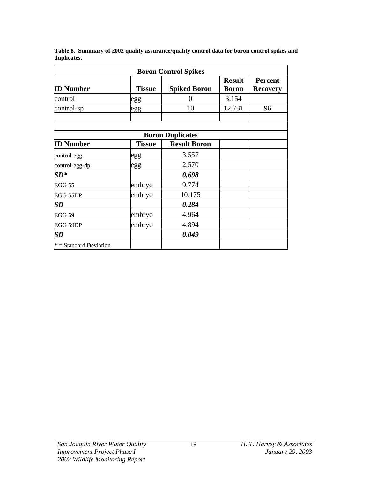|             |  |  | Table 8. Summary of 2002 quality assurance/quality control data for boron control spikes and |
|-------------|--|--|----------------------------------------------------------------------------------------------|
| duplicates. |  |  |                                                                                              |

| <b>Boron Control Spikes</b>      |               |                         |                               |                                   |  |  |  |  |
|----------------------------------|---------------|-------------------------|-------------------------------|-----------------------------------|--|--|--|--|
| <b>ID Number</b>                 | <b>Tissue</b> | <b>Spiked Boron</b>     | <b>Result</b><br><b>Boron</b> | <b>Percent</b><br><b>Recovery</b> |  |  |  |  |
| control                          | egg           | $\theta$                | 3.154                         |                                   |  |  |  |  |
| control-sp                       | egg           | 10                      | 12.731                        | 96                                |  |  |  |  |
|                                  |               |                         |                               |                                   |  |  |  |  |
|                                  |               | <b>Boron Duplicates</b> |                               |                                   |  |  |  |  |
| <b>ID Number</b>                 | <b>Tissue</b> | <b>Result Boron</b>     |                               |                                   |  |  |  |  |
| control-egg                      | egg           | 3.557                   |                               |                                   |  |  |  |  |
| control-egg-dp                   | egg           | 2.570                   |                               |                                   |  |  |  |  |
| $\boldsymbol{S}\boldsymbol{D^*}$ |               | 0.698                   |                               |                                   |  |  |  |  |
| <b>EGG 55</b>                    | embryo        | 9.774                   |                               |                                   |  |  |  |  |
| EGG 55DP                         | embryo        | 10.175                  |                               |                                   |  |  |  |  |
| <b>SD</b>                        |               | 0.284                   |                               |                                   |  |  |  |  |
| EGG 59                           | embryo        | 4.964                   |                               |                                   |  |  |  |  |
| EGG 59DP                         | embryo        | 4.894                   |                               |                                   |  |  |  |  |
| $\boldsymbol{SD}$                |               | 0.049                   |                               |                                   |  |  |  |  |
| $* = Standard Deviation$         |               |                         |                               |                                   |  |  |  |  |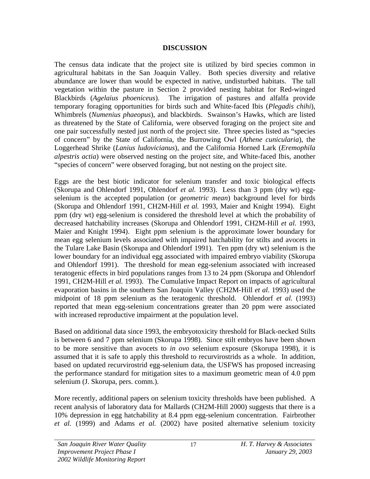### **DISCUSSION**

The census data indicate that the project site is utilized by bird species common in agricultural habitats in the San Joaquin Valley. Both species diversity and relative abundance are lower than would be expected in native, undisturbed habitats. The tall vegetation within the pasture in Section 2 provided nesting habitat for Red-winged Blackbirds (*Agelaius phoeniceus*). The irrigation of pastures and alfalfa provide temporary foraging opportunities for birds such and White-faced Ibis (*Plegadis chihi*), Whimbrels (*Numenius phaeopus*), and blackbirds. Swainson's Hawks, which are listed as threatened by the State of California, were observed foraging on the project site and one pair successfully nested just north of the project site. Three species listed as "species of concern" by the State of California, the Burrowing Owl (*Athene cunicularia*), the Loggerhead Shrike (*Lanius ludovicianus*), and the California Horned Lark (*Eremophila alpestris actia*) were observed nesting on the project site, and White-faced Ibis, another "species of concern" were observed foraging, but not nesting on the project site.

Eggs are the best biotic indicator for selenium transfer and toxic biological effects (Skorupa and Ohlendorf 1991, Ohlendorf *et al.* 1993). Less than 3 ppm (dry wt) eggselenium is the accepted population (or *geometric mean*) background level for birds (Skorupa and Ohlendorf 1991, CH2M-Hill *et al.* 1993, Maier and Knight 1994). Eight ppm (dry wt) egg-selenium is considered the threshold level at which the probability of decreased hatchability increases (Skorupa and Ohlendorf 1991, CH2M-Hill *et al.* 1993, Maier and Knight 1994). Eight ppm selenium is the approximate lower boundary for mean egg selenium levels associated with impaired hatchability for stilts and avocets in the Tulare Lake Basin (Skorupa and Ohlendorf 1991). Ten ppm (dry wt) selenium is the lower boundary for an individual egg associated with impaired embryo viability (Skorupa and Ohlendorf 1991). The threshold for mean egg-selenium associated with increased teratogenic effects in bird populations ranges from 13 to 24 ppm (Skorupa and Ohlendorf 1991, CH2M-Hill *et al.* 1993). The Cumulative Impact Report on impacts of agricultural evaporation basins in the southern San Joaquin Valley (CH2M-Hill *et al.* 1993) used the midpoint of 18 ppm selenium as the teratogenic threshold. Ohlendorf *et al.* (1993) reported that mean egg-selenium concentrations greater than 20 ppm were associated with increased reproductive impairment at the population level.

Based on additional data since 1993, the embryotoxicity threshold for Black-necked Stilts is between 6 and 7 ppm selenium (Skorupa 1998). Since stilt embryos have been shown to be more sensitive than avocets to *in ovo* selenium exposure (Skorupa 1998), it is assumed that it is safe to apply this threshold to recurvirostrids as a whole. In addition, based on updated recurvirostrid egg-selenium data, the USFWS has proposed increasing the performance standard for mitigation sites to a maximum geometric mean of 4.0 ppm selenium (J. Skorupa, pers. comm.).

More recently, additional papers on selenium toxicity thresholds have been published. A recent analysis of laboratory data for Mallards (CH2M-Hill 2000) suggests that there is a 10% depression in egg hatchability at 8.4 ppm egg-selenium concentration. Fairbrother *et al.* (1999) and Adams *et al.* (2002) have posited alternative selenium toxicity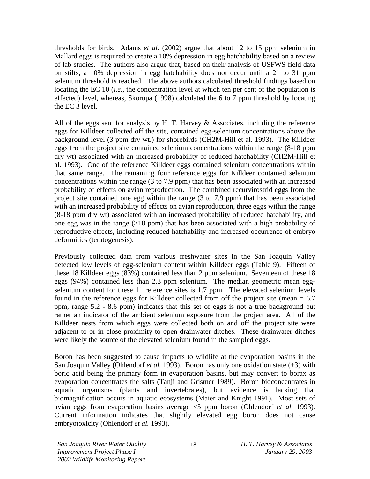thresholds for birds. Adams *et al.* (2002) argue that about 12 to 15 ppm selenium in Mallard eggs is required to create a 10% depression in egg hatchability based on a review of lab studies. The authors also argue that, based on their analysis of USFWS field data on stilts, a 10% depression in egg hatchability does not occur until a 21 to 31 ppm selenium threshold is reached. The above authors calculated threshold findings based on locating the EC 10 (*i.e.*, the concentration level at which ten per cent of the population is effected) level, whereas, Skorupa (1998) calculated the 6 to 7 ppm threshold by locating the EC 3 level.

All of the eggs sent for analysis by H. T. Harvey & Associates, including the reference eggs for Killdeer collected off the site, contained egg-selenium concentrations above the background level (3 ppm dry wt.) for shorebirds (CH2M-Hill et al. 1993). The Killdeer eggs from the project site contained selenium concentrations within the range (8-18 ppm dry wt) associated with an increased probability of reduced hatchability (CH2M-Hill et al. 1993). One of the reference Killdeer eggs contained selenium concentrations within that same range. The remaining four reference eggs for Killdeer contained selenium concentrations within the range (3 to 7.9 ppm) that has been associated with an increased probability of effects on avian reproduction. The combined recurvirostrid eggs from the project site contained one egg within the range (3 to 7.9 ppm) that has been associated with an increased probability of effects on avian reproduction, three eggs within the range (8-18 ppm dry wt) associated with an increased probability of reduced hatchability, and one egg was in the range  $(>18 \text{ ppm})$  that has been associated with a high probability of reproductive effects, including reduced hatchability and increased occurrence of embryo deformities (teratogenesis).

Previously collected data from various freshwater sites in the San Joaquin Valley detected low levels of egg-selenium content within Killdeer eggs (Table 9). Fifteen of these 18 Killdeer eggs (83%) contained less than 2 ppm selenium. Seventeen of these 18 eggs (94%) contained less than 2.3 ppm selenium. The median geometric mean eggselenium content for these 11 reference sites is 1.7 ppm. The elevated selenium levels found in the reference eggs for Killdeer collected from off the project site (mean  $= 6.7$ ) ppm, range 5.2 - 8.6 ppm) indicates that this set of eggs is not a true background but rather an indicator of the ambient selenium exposure from the project area. All of the Killdeer nests from which eggs were collected both on and off the project site were adjacent to or in close proximity to open drainwater ditches. These drainwater ditches were likely the source of the elevated selenium found in the sampled eggs.

Boron has been suggested to cause impacts to wildlife at the evaporation basins in the San Joaquin Valley (Ohlendorf *et al.* 1993). Boron has only one oxidation state (+3) with boric acid being the primary form in evaporation basins, but may convert to borax as evaporation concentrates the salts (Tanji and Grismer 1989). Boron bioconcentrates in aquatic organisms (plants and invertebrates), but evidence is lacking that biomagnification occurs in aquatic ecosystems (Maier and Knight 1991). Most sets of avian eggs from evaporation basins average <5 ppm boron (Ohlendorf *et al.* 1993). Current information indicates that slightly elevated egg boron does not cause embryotoxicity (Ohlendorf *et al.* 1993).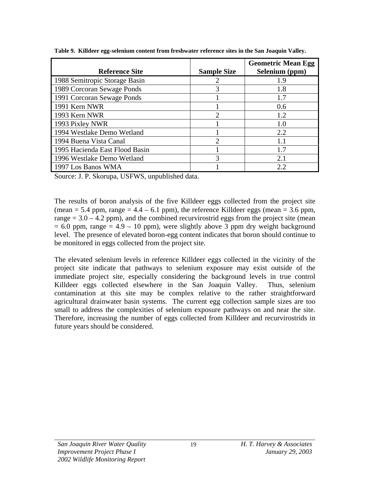| <b>Reference Site</b>          | <b>Sample Size</b> | <b>Geometric Mean Egg</b><br>Selenium (ppm) |
|--------------------------------|--------------------|---------------------------------------------|
| 1988 Semitropic Storage Basin  |                    | 1.9                                         |
| 1989 Corcoran Sewage Ponds     | 3                  | 1.8                                         |
| 1991 Corcoran Sewage Ponds     |                    | 1.7                                         |
| 1991 Kern NWR                  |                    | 0.6                                         |
| 1993 Kern NWR                  | 2                  | 1.2                                         |
| 1993 Pixley NWR                |                    | 1.0                                         |
| 1994 Westlake Demo Wetland     |                    | 2.2                                         |
| 1994 Buena Vista Canal         | ာ                  | 1.1                                         |
| 1995 Hacienda East Flood Basin |                    | 1.7                                         |
| 1996 Westlake Demo Wetland     | 3                  | 2.1                                         |
| 1997 Los Banos WMA             |                    | 2.2.                                        |

**Table 9. Killdeer egg-selenium content from freshwater reference sites in the San Joaquin Valley.**

Source: J. P. Skorupa, USFWS, unpublished data.

The results of boron analysis of the five Killdeer eggs collected from the project site (mean  $= 5.4$  ppm, range  $= 4.4 - 6.1$  ppm), the reference Killdeer eggs (mean  $= 3.6$  ppm, range  $= 3.0 - 4.2$  ppm), and the combined recurvirostrid eggs from the project site (mean  $= 6.0$  ppm, range  $= 4.9 - 10$  ppm), were slightly above 3 ppm dry weight background level. The presence of elevated boron-egg content indicates that boron should continue to be monitored in eggs collected from the project site.

The elevated selenium levels in reference Killdeer eggs collected in the vicinity of the project site indicate that pathways to selenium exposure may exist outside of the immediate project site, especially considering the background levels in true control Killdeer eggs collected elsewhere in the San Joaquin Valley. Thus, selenium contamination at this site may be complex relative to the rather straightforward agricultural drainwater basin systems. The current egg collection sample sizes are too small to address the complexities of selenium exposure pathways on and near the site. Therefore, increasing the number of eggs collected from Killdeer and recurvirostrids in future years should be considered.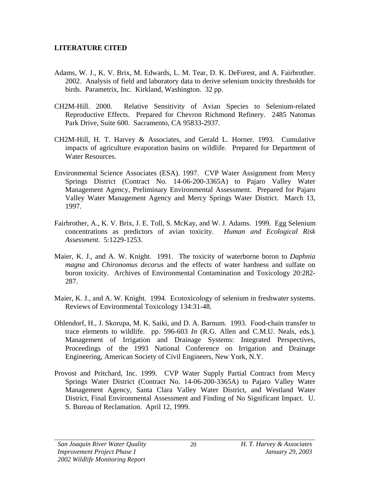## **LITERATURE CITED**

- Adams, W. J., K. V. Brix, M. Edwards, L. M. Tear, D. K. DeForest, and A. Fairbrother. 2002. Analysis of field and laboratory data to derive selenium toxicity thresholds for birds. Parametrix, Inc. Kirkland, Washington. 32 pp.
- CH2M-Hill. 2000. Relative Sensitivity of Avian Species to Selenium-related Reproductive Effects. Prepared for Chevron Richmond Refinery. 2485 Natomas Park Drive, Suite 600. Sacramento, CA 95833-2937.
- CH2M-Hill, H. T. Harvey & Associates, and Gerald L. Horner. 1993. Cumulative impacts of agriculture evaporation basins on wildlife. Prepared for Department of Water Resources.
- Environmental Science Associates (ESA). 1997. CVP Water Assignment from Mercy Springs District (Contract No. 14-06-200-3365A) to Pajaro Valley Water Management Agency, Preliminary Environmental Assessment. Prepared for Pajaro Valley Water Management Agency and Mercy Springs Water District. March 13, 1997.
- Fairbrother, A., K. V. Brix, J. E. Toll, S. McKay, and W. J. Adams. 1999. Egg Selenium concentrations as predictors of avian toxicity. *Human and Ecological Risk Assessment*. 5:1229-1253.
- Maier, K. J., and A. W. Knight. 1991. The toxicity of waterborne boron to *Daphnia magna* and *Chironomus decorus* and the effects of water hardness and sulfate on boron toxicity. Archives of Environmental Contamination and Toxicology 20:282- 287.
- Maier, K. J., and A. W. Knight. 1994. Ecotoxicology of selenium in freshwater systems. Reviews of Environmental Toxicology 134:31-48.
- Ohlendorf, H., J. Skorupa, M. K. Saiki, and D. A. Barnum. 1993. Food-chain transfer to trace elements to wildlife. pp. 596-603 *In* (R.G. Allen and C.M.U. Neals, eds.). Management of Irrigation and Drainage Systems: Integrated Perspectives, Proceedings of the 1993 National Conference on Irrigation and Drainage Engineering, American Society of Civil Engineers, New York, N.Y.
- Provost and Pritchard, Inc. 1999. CVP Water Supply Partial Contract from Mercy Springs Water District (Contract No. 14-06-200-3365A) to Pajaro Valley Water Management Agency, Santa Clara Valley Water District, and Westland Water District, Final Environmental Assessment and Finding of No Significant Impact. U. S. Bureau of Reclamation. April 12, 1999.